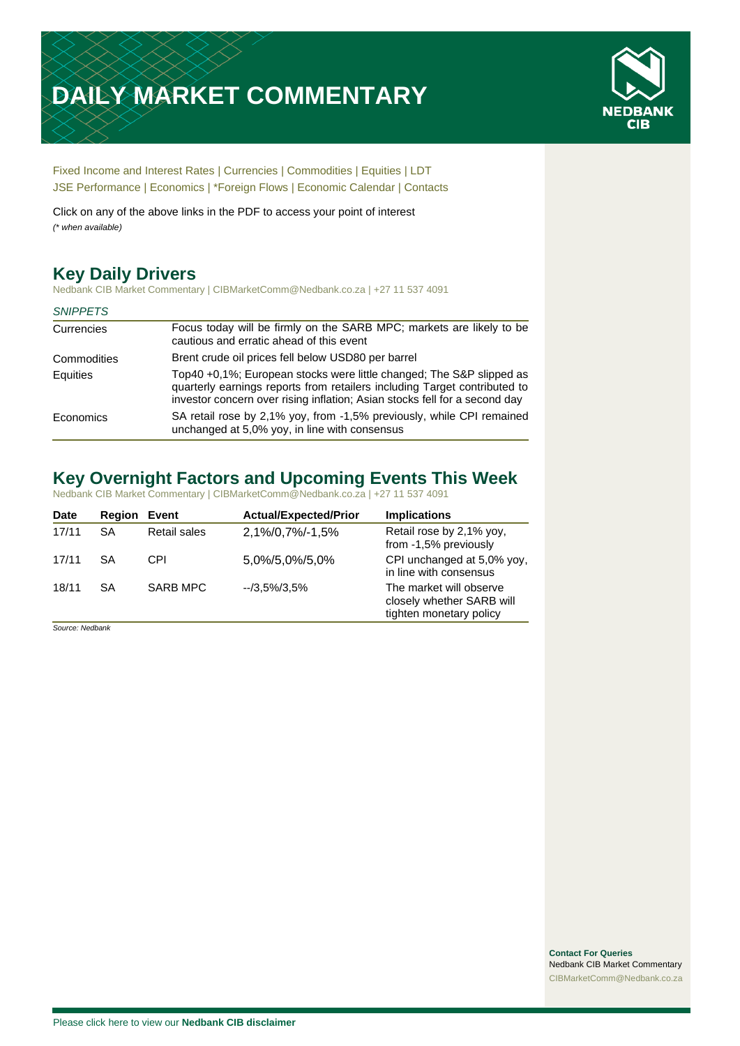# **DAILY MARKET COMMENTARY**



[Fixed Income and Interest Rates](#page-1-0) | [Currencies](#page-2-0) | [Commodities](#page-3-0) [| Equities](#page-4-0) | [LDT](#page-5-0) [JSE Performance](#page-6-0) [| Economics](#page-7-0) | [\\*Foreign Flows](#page-8-0) | [Economic Calendar](#page-8-0) | [Contacts](#page-9-0)

Click on any of the above links in the PDF to access your point of interest *(\* when available)*

# **Key Daily Drivers**

Nedbank CIB Market Commentary | CIBMarketComm@Nedbank.co.za | +27 11 537 4091

#### *SNIPPETS*

| Currencies  | Focus today will be firmly on the SARB MPC; markets are likely to be<br>cautious and erratic ahead of this event                                                                                                                |
|-------------|---------------------------------------------------------------------------------------------------------------------------------------------------------------------------------------------------------------------------------|
| Commodities | Brent crude oil prices fell below USD80 per barrel                                                                                                                                                                              |
| Equities    | Top40 +0.1%; European stocks were little changed; The S&P slipped as<br>quarterly earnings reports from retailers including Target contributed to<br>investor concern over rising inflation; Asian stocks fell for a second day |
| Economics   | SA retail rose by 2,1% yoy, from -1,5% previously, while CPI remained<br>unchanged at 5,0% yoy, in line with consensus                                                                                                          |

# **Key Overnight Factors and Upcoming Events This Week**

Nedbank CIB Market Commentary | CIBMarketComm@Nedbank.co.za | +27 11 537 4091

| Date  | Region | Event        | <b>Actual/Expected/Prior</b> | <b>Implications</b>                                                             |
|-------|--------|--------------|------------------------------|---------------------------------------------------------------------------------|
| 17/11 | SА     | Retail sales | 2,1%/0,7%/-1,5%              | Retail rose by 2,1% yoy,<br>from -1,5% previously                               |
| 17/11 | SA     | CPI          | 5,0%/5,0%/5,0%               | CPI unchanged at 5,0% yoy,<br>in line with consensus                            |
| 18/11 | SA     | SARB MPC     | $-73.5\%/3.5\%$              | The market will observe<br>closely whether SARB will<br>tighten monetary policy |

*Source: Nedbank*

**Contact For Queries** Nedbank CIB Market Commentary [CIBMarketComm@Nedbank.co.za](file:///C:/Users/Paul-Rose/AppData/Roaming/Bluecurve/templates/CIBMarketComm@Nedbank.co.za)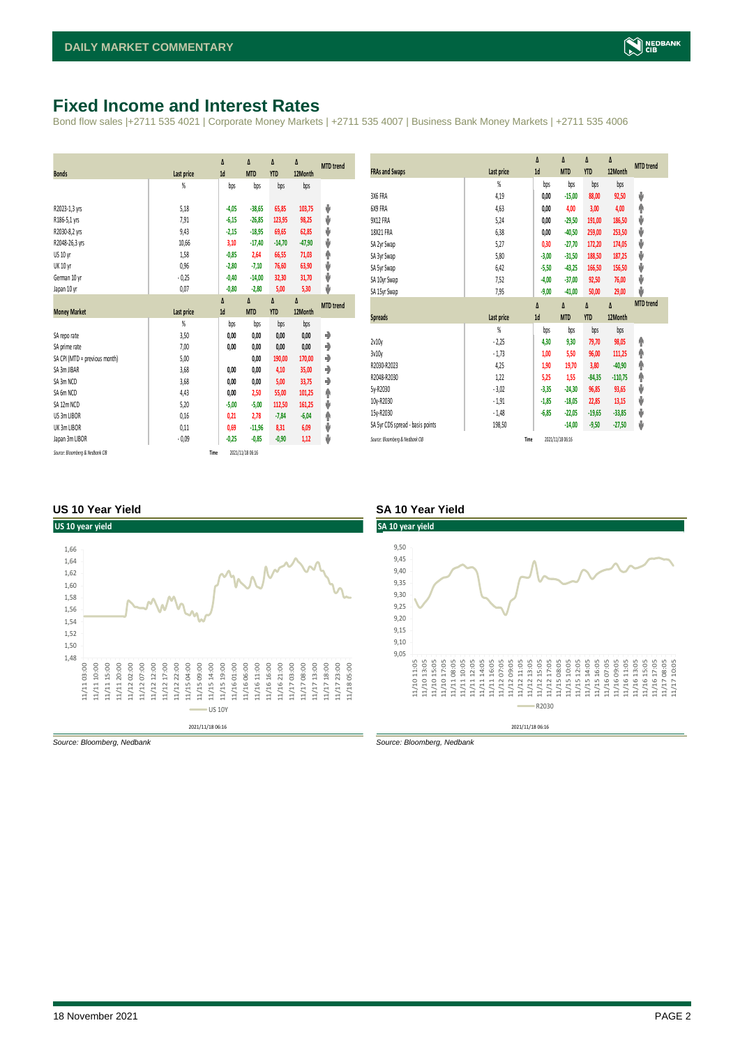## <span id="page-1-0"></span>**Fixed Income and Interest Rates**

Bond flow sales |+2711 535 4021 | Corporate Money Markets | +2711 535 4007 | Business Bank Money Markets | +2711 535 4006

| <b>Bonds</b>                  | Last price     | Δ<br>1d | Δ<br><b>MTD</b> | Δ<br><b>YTD</b> | Δ<br>12Month | <b>MTD</b> trend |
|-------------------------------|----------------|---------|-----------------|-----------------|--------------|------------------|
|                               | $\frac{9}{20}$ | bps     | bps             | bps             | bps          |                  |
| R2023-1,3 yrs                 | 5,18           | $-4,05$ | $-38,65$        | 65,85           | 103,75       | ψ                |
| R186-5,1 yrs                  | 7,91           | $-6,15$ | $-26,85$        | 123,95          | 98,25        | ψ                |
| R2030-8,2 yrs                 | 9,43           | $-2,15$ | $-18,95$        | 69,65           | 62,85        | ψ                |
| R2048-26,3 yrs                | 10,66          | 3,10    | $-17,40$        | $-14,70$        | $-47,90$     | ψ                |
| US 10 yr                      | 1,58           | $-0,85$ | 2,64            | 66,55           | 71,03        | φ                |
| <b>UK 10 yr</b>               | 0,96           | $-2,80$ | $-7,10$         | 76,60           | 63,90        | ψ                |
| German 10 yr                  | $-0,25$        | $-0,40$ | $-14,00$        | 32,30           | 31,70        | ψ                |
| Japan 10 yr                   | 0,07           | $-0,80$ | $-2,80$         | 5,00            | 5,30         | ψ                |
|                               |                | Δ       | Δ               | Δ               | Δ            | <b>MTD</b> trend |
| <b>Money Market</b>           | Last price     | 1d      | <b>MTD</b>      | <b>YTD</b>      | 12Month      |                  |
|                               |                |         |                 |                 |              |                  |
|                               | $\frac{9}{20}$ | bps     | bps             | bps             | bps          |                  |
| SA repo rate                  | 3,50           | 0,00    | 0,00            | 0,00            | 0,00         | ۰                |
| SA prime rate                 | 7,00           | 0,00    | 0,00            | 0,00            | 0,00         | ♦                |
| SA CPI (MTD = previous month) | 5,00           |         | 0,00            | 190,00          | 170,00       | ۰                |
| SA 3m JIBAR                   | 3,68           | 0,00    | 0,00            | 4,10            | 35,00        | ۰                |
| SA 3m NCD                     | 3,68           | 0,00    | 0,00            | 5,00            | 33,75        | ۰                |
| SA 6m NCD                     | 4,43           | 0,00    | 2,50            | 55,00           | 101,25       | ۸                |
| SA 12m NCD                    | 5.20           | $-5,00$ | $-5,00$         | 112,50          | 161,25       | ψ                |
| US 3m LIBOR                   | 0,16           | 0,21    | 2,78            | $-7,84$         | $-6,04$      | φ                |
| UK 3m LIBOR                   | 0,11           | 0,69    | $-11,96$        | 8,31            | 6,09         | ψ                |
| Japan 3m LIBOR                | $-0.09$        | $-0,25$ | $-0.85$         | $-0,90$         | 1,12         | ψ                |

|                                  |                | Δ<br>1d | Δ<br><b>MTD</b> | Δ<br><b>YTD</b> | Δ<br>12Month | <b>MTD</b> trend |
|----------------------------------|----------------|---------|-----------------|-----------------|--------------|------------------|
| <b>FRAs and Swaps</b>            | Last price     |         |                 |                 |              |                  |
|                                  | %              | bps     | bps             | bps             | bps          |                  |
| 3X6 FRA                          | 4,19           | 0,00    | $-15,00$        | 88,00           | 92,50        | ψ                |
| 6X9 FRA                          | 4,63           | 0,00    | 4,00            | 3,00            | 4,00         | ♠                |
| 9X12 FRA                         | 5,24           | 0,00    | $-29,50$        | 191,00          | 186,50       | ψ                |
| 18X21 FRA                        | 6,38           | 0,00    | $-40,50$        | 259,00          | 253,50       | ψ                |
| SA 2yr Swap                      | 5,27           | 0,30    | $-27,70$        | 172,20          | 174,05       | ψ                |
| SA 3yr Swap                      | 5,80           | $-3,00$ | $-31,50$        | 188,50          | 187,25       | ψ                |
| SA 5yr Swap                      | 6.42           | $-5,50$ | $-43,25$        | 166,50          | 156,50       | ψ                |
| SA 10yr Swap                     | 7,52           | $-4,00$ | $-37,00$        | 92,50           | 76,00        | ψ                |
| SA 15yr Swap                     | 7,95           | $-9,00$ | $-41,00$        | 50,00           | 29,00        | J                |
|                                  |                | Δ       | Δ               | Δ               | Δ            | <b>MTD</b> trend |
| <b>Spreads</b>                   | Last price     | 1d      | <b>MTD</b>      | <b>YTD</b>      | 12Month      |                  |
|                                  | $\frac{9}{20}$ | bps     | bps             | bps             | bps          |                  |
| 2v10v                            | $-2,25$        | 4,30    | 9,30            | 79,70           | 98,05        | ۸                |
| 3v10y                            | $-1,73$        | 1,00    | 5,50            | 96,00           | 111,25       | ♠                |
| R2030-R2023                      | 4,25           | 1,90    | 19,70           | 3,80            | $-40,90$     | ۸                |
| R2048-R2030                      | 1,22           | 5,25    | 1,55            | $-84,35$        | $-110,75$    | ♠                |
| 5y-R2030                         | $-3,02$        | $-3,35$ | $-24,30$        | 96,85           | 93,65        | ψ                |
| 10y-R2030                        | $-1,91$        | $-1,85$ | $-18,05$        | 22,85           | 13,15        | ψ                |
| 15y-R2030                        | $-1,48$        | $-6,85$ | $-22,05$        | $-19,65$        | $-33,85$     | ψ                |
| SA 5yr CDS spread - basis points | 198,50         |         | $-14,00$        | $-9,50$         | $-27,50$     | ψ                |
|                                  |                |         |                 |                 |              |                  |

#### **US 10 Year Yield SA 10 Year Yield**



*Source: Bloomberg, Nedbank Source: Bloomberg, Nedbank*

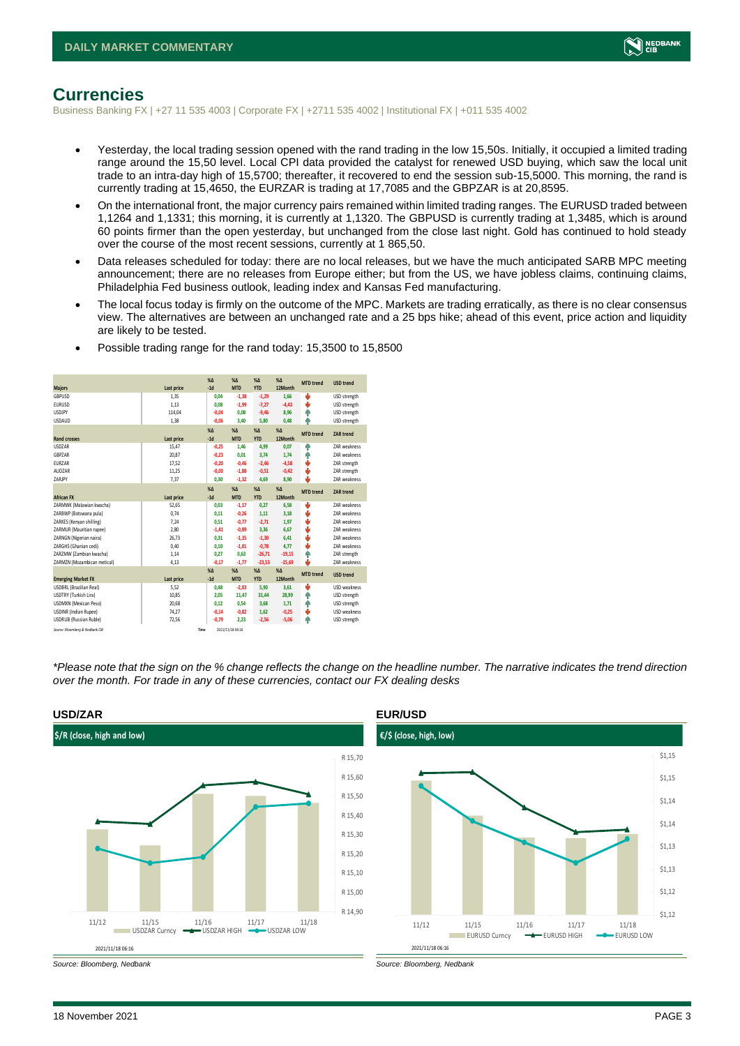

### <span id="page-2-0"></span>**Currencies**

Business Banking FX | +27 11 535 4003 | Corporate FX | +2711 535 4002 | Institutional FX | +011 535 4002

- Yesterday, the local trading session opened with the rand trading in the low 15,50s. Initially, it occupied a limited trading range around the 15,50 level. Local CPI data provided the catalyst for renewed USD buying, which saw the local unit trade to an intra-day high of 15,5700; thereafter, it recovered to end the session sub-15,5000. This morning, the rand is currently trading at 15,4650, the EURZAR is trading at 17,7085 and the GBPZAR is at 20,8595.
- On the international front, the major currency pairs remained within limited trading ranges. The EURUSD traded between 1,1264 and 1,1331; this morning, it is currently at 1,1320. The GBPUSD is currently trading at 1,3485, which is around 60 points firmer than the open yesterday, but unchanged from the close last night. Gold has continued to hold steady over the course of the most recent sessions, currently at 1 865,50.
- Data releases scheduled for today: there are no local releases, but we have the much anticipated SARB MPC meeting announcement; there are no releases from Europe either; but from the US, we have jobless claims, continuing claims, Philadelphia Fed business outlook, leading index and Kansas Fed manufacturing.
- The local focus today is firmly on the outcome of the MPC. Markets are trading erratically, as there is no clear consensus view. The alternatives are between an unchanged rate and a 25 bps hike; ahead of this event, price action and liquidity are likely to be tested.

| <b>Majors</b>                   | Last price | X <sub>A</sub><br>$-1d$ | X <sub>A</sub><br><b>MTD</b> | $% \Delta$<br><b>YTD</b> | $% \Delta$<br>12Month | <b>MTD</b> trend | <b>USD trend</b>    |
|---------------------------------|------------|-------------------------|------------------------------|--------------------------|-----------------------|------------------|---------------------|
| GBPUSD                          | 1.35       | 0.04                    | $-1.38$                      | $-1,29$                  | 1.66                  | ÷                | USD strength        |
| <b>EURUSD</b>                   | 1,13       | 0,08                    | $-1,99$                      | $-7,27$                  | $-4,43$               | ψ                | USD strength        |
| <b>LISDIPY</b>                  | 114,04     | $-0.04$                 | 0.08                         | $-9,46$                  | 8.96                  | ٠                | USD strength        |
| <b>USDAUD</b>                   | 1,38       | $-0,06$                 | 3,40                         | 5,80                     | 0,48                  | Φ                | USD strength        |
|                                 |            | X <sub>A</sub>          | X <sub>A</sub>               | $% \Delta$               | $% \Lambda$           |                  |                     |
| <b>Rand crosses</b>             | Last price | $-1d$                   | <b>MTD</b>                   | <b>YTD</b>               | 12Month               | <b>MTD</b> trend | <b>ZAR trend</b>    |
| <b>USDZAR</b>                   | 15,47      | $-0,25$                 | 1.46                         | 4,99                     | 0,07                  | ٠                | <b>7AR</b> weakness |
| GBPZAR                          |            |                         |                              |                          |                       | ۸                | <b>7AR</b> weakness |
| <b>FUR7AR</b>                   | 20,87      | $-0,23$                 | 0,01                         | 3,74                     | 1,74                  | v                |                     |
|                                 | 17,52      | $-0.20$                 | $-0.46$                      | $-2,46$                  | $-4,58$               |                  | ZAR strength        |
| AUD7AR                          | 11,25      | $-0,00$                 | $-1,88$                      | $-0,51$                  | $-0,42$               | v                | ZAR strength        |
| ZARJPY                          | 7,37       | 0,30                    | $-1,32$                      | 4.69                     | 8,90                  | ۵                | <b>7AR</b> weakness |
|                                 |            | X <sub>A</sub>          | X <sub>A</sub>               | $%$ $\Lambda$            | $% \Lambda$           | <b>MTD</b> trend | <b>ZAR trend</b>    |
| <b>African FX</b>               | Last price | $-1d$                   | <b>MTD</b>                   | <b>YTD</b>               | 12Month               |                  |                     |
| ZARMWK (Malawian kwacha)        | 52.65      | 0.03                    | $-1.17$                      | 0.27                     | 6.58                  | U                | ZAR weakness        |
| ZARBWP (Botswana pula)          | 0.74       | 0.11                    | $-0,26$                      | 1,11                     | 3,18                  | ÷                | <b>7AR</b> weakness |
| ZARKES (Kenyan shilling)        | 7,24       | 0,51                    | $-0.77$                      | $-2,71$                  | 1,97                  | v                | <b>7AR</b> weakness |
| ZARMUR (Mauritian rupee)        | 2.80       | $-1.41$                 | $-0,89$                      | 3.36                     | 6.67                  | v                | <b>7AR</b> weakness |
| ZARNGN (Nigerian naira)         | 26,73      | 0.31                    | $-1,35$                      | $-1,30$                  | 6,41                  | v                | <b>7AR</b> weakness |
| ZARGHS (Ghanian cedi)           | 0.40       | 0.10                    | $-1,01$                      | $-0,78$                  | 4.77                  | v                | ZAR weakness        |
| ZARZMW (Zambian kwacha)         | 1.14       | 0.27                    | 0.63                         | $-26,71$                 | $-19,15$              | ٠                | ZAR strength        |
| ZARMZN (Mozambican metical)     | 4,13       | $-0,17$                 | $-1,77$                      | $-23,53$                 | $-15,69$              | ٤                | ZAR weakness        |
|                                 |            | X <sub>A</sub>          | X <sub>A</sub>               | $\%$ $\Lambda$           | $% \Delta$            | <b>MTD</b> trend |                     |
| <b>Emerging Market FX</b>       | Last price | $-1d$                   | <b>MTD</b>                   | <b>YTD</b>               | 12Month               |                  | <b>USD trend</b>    |
| <b>USDBRL (Brazilian Real)</b>  | 5.52       | 0,48                    | $-2.03$                      | 5,90                     | 3.61                  | v                | USD weakness        |
| USDTRY (Turkish Lira)           | 10,85      | 2.05                    | 11,47                        | 31,44                    | 28,99                 | ٠                | USD strength        |
| <b>USDMXN (Mexican Peso)</b>    | 20,68      | 0.12                    | 0.54                         | 3,68                     | 1.71                  | ٠                | USD strength        |
| <b>USDINR</b> (Indian Rupee)    | 74,27      | $-0,14$                 | $-0,82$                      | 1,62                     | $-0,25$               | v                | USD weakness        |
| <b>USDRUB (Russian Ruble)</b>   | 72.56      | $-0.79$                 | 2.23                         | $-2,56$                  | $-5,06$               | Φ                | USD strength        |
| Source: Bloomberg & Nedbank CIB |            | Time                    | 2021/11/18 06:16             |                          |                       |                  |                     |

• Possible trading range for the rand today: 15,3500 to 15,8500

*\*Please note that the sign on the % change reflects the change on the headline number. The narrative indicates the trend direction over the month. For trade in any of these currencies, contact our FX dealing desks*





<sup>18</sup> November 2021 PAGE 3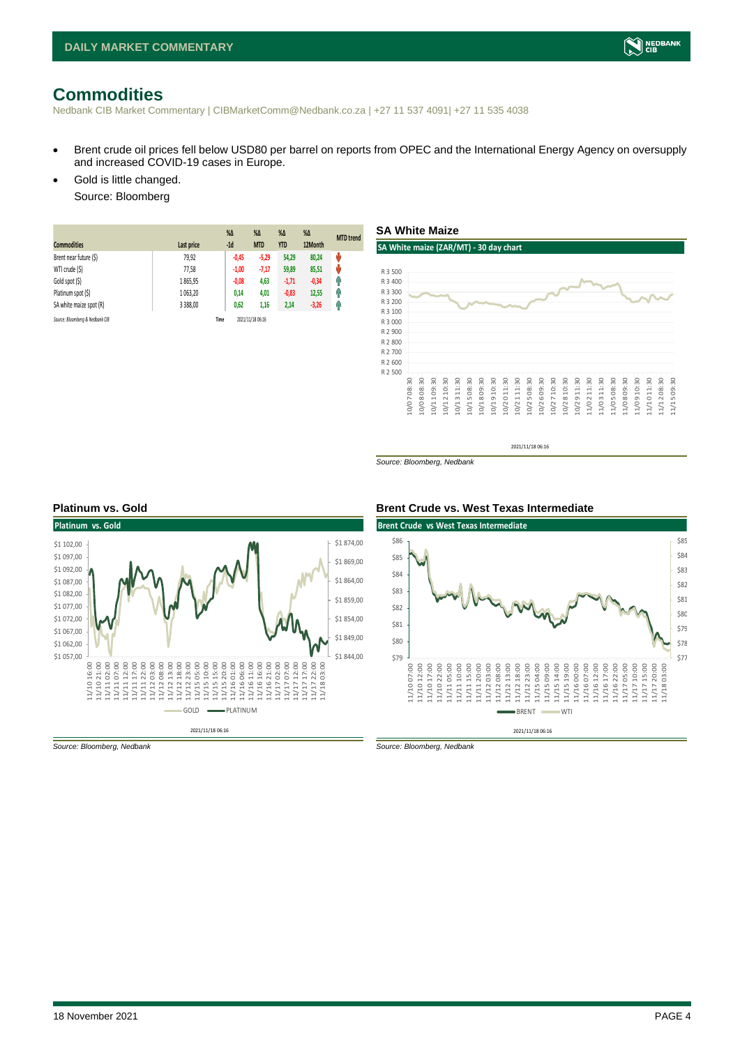# <span id="page-3-0"></span>**Commodities**

Nedbank CIB Market Commentary | CIBMarketComm@Nedbank.co.za | +27 11 537 4091| +27 11 535 4038

- Brent crude oil prices fell below USD80 per barrel on reports from OPEC and the International Energy Agency on oversupply and increased COVID-19 cases in Europe.
- Gold is little changed. Source: Bloomberg

| <b>Commodities</b>              | Last price | $%$ $\Delta$<br>$-1d$ | $% \Delta$<br><b>MTD</b> | $% \Delta$<br><b>YTD</b> | $\%$ $\Delta$<br>12Month | <b>MTD</b> trend |
|---------------------------------|------------|-----------------------|--------------------------|--------------------------|--------------------------|------------------|
| Brent near future (\$)          | 79,92      | $-0.45$               | $-5,29$                  | 54,29                    | 80.24                    | ψ                |
| WTI crude (\$)                  | 77,58      | $-1,00$               | $-7,17$                  | 59,89                    | 85,51                    | Ů                |
| Gold spot (\$)                  | 1865,95    | $-0.08$               | 4,63                     | $-1,71$                  | $-0,34$                  | Ŧ                |
| Platinum spot (\$)              | 1 063.20   | 0,14                  | 4,01                     | $-0,83$                  | 12,55                    | q,               |
| SA white maize spot (R)         | 3 388,00   | 0,62                  | 1,16                     | 2,14                     | $-3,26$                  | Ĥ                |
| Source: Bloomberg & Nedbank CIB |            | Time                  | 2021/11/18 06:16         |                          |                          |                  |



*Source: Bloomberg, Nedbank*





*Source: Bloomberg, Nedbank Source: Bloomberg, Nedbank*

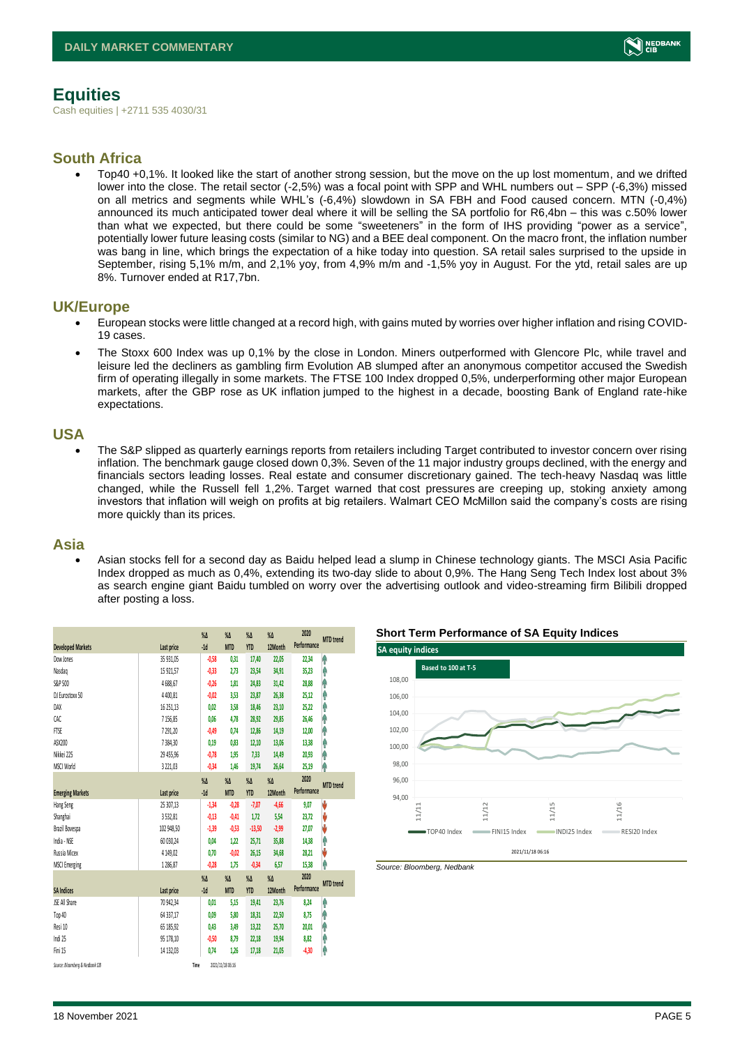

# <span id="page-4-0"></span>**Equities**

Cash equities | +2711 535 4030/31

### **South Africa**

• Top40 +0,1%. It looked like the start of another strong session, but the move on the up lost momentum, and we drifted lower into the close. The retail sector (-2,5%) was a focal point with SPP and WHL numbers out – SPP (-6,3%) missed on all metrics and segments while WHL's (-6,4%) slowdown in SA FBH and Food caused concern. MTN (-0,4%) announced its much anticipated tower deal where it will be selling the SA portfolio for R6,4bn – this was c.50% lower than what we expected, but there could be some "sweeteners" in the form of IHS providing "power as a service", potentially lower future leasing costs (similar to NG) and a BEE deal component. On the macro front, the inflation number was bang in line, which brings the expectation of a hike today into question. SA retail sales surprised to the upside in September, rising 5,1% m/m, and 2,1% yoy, from 4,9% m/m and -1,5% yoy in August. For the ytd, retail sales are up 8%. Turnover ended at R17,7bn.

#### **UK/Europe**

- European stocks were little changed at a record high, with gains muted by worries over higher inflation and rising COVID-19 cases.
- The Stoxx 600 Index was up 0,1% by the close in London. Miners outperformed with Glencore Plc, while travel and leisure led the decliners as gambling firm Evolution AB slumped after an anonymous competitor accused the Swedish firm of operating illegally in some markets. The FTSE 100 Index dropped 0,5%, underperforming other major European markets, after the GBP rose as UK inflation jumped to the highest in a decade, boosting Bank of England rate-hike expectations.

#### **USA**

• The S&P slipped as quarterly earnings reports from retailers including Target contributed to investor concern over rising inflation. The benchmark gauge closed down 0,3%. Seven of the 11 major industry groups declined, with the energy and financials sectors leading losses. Real estate and consumer discretionary gained. The tech-heavy Nasdaq was little changed, while the Russell fell 1,2%. Target warned that cost pressures are creeping up, stoking anxiety among investors that inflation will weigh on profits at big retailers. Walmart CEO McMillon said the company's costs are rising more quickly than its prices.

#### **Asia**

• Asian stocks fell for a second day as Baidu helped lead a slump in Chinese technology giants. The MSCI Asia Pacific Index dropped as much as 0,4%, extending its two-day slide to about 0,9%. The Hang Seng Tech Index lost about 3% as search engine giant Baidu tumbled on worry over the advertising outlook and video-streaming firm Bilibili dropped after posting a loss.

|                                 |               | $\%$ $\Delta$ | $\%$ $\Delta$    | $\%$ $\Delta$ | $\%$ $\Delta$ | 2020        | <b>MTD</b> trend |
|---------------------------------|---------------|---------------|------------------|---------------|---------------|-------------|------------------|
| <b>Developed Markets</b>        | Last price    | $-1d$         | <b>MTD</b>       | <b>YTD</b>    | 12Month       | Performance |                  |
| Dow Jones                       | 35 931.05     | $-0,58$       | 0,31             | 17,40         | 22,05         | 22,34       | ۸                |
| Nasdao                          | 15 921.57     | $-0,33$       | 2.73             | 23,54         | 34,91         | 35,23       | ٨                |
| S&P 500                         | 4688,67       | $-0,26$       | 1,81             | 24,83         | 31,42         | 28,88       | ۸                |
| DJ Eurostoxx 50                 | 4400.81       | $-0,02$       | 3,53             | 23,87         | 26,38         | 25,12       | Α                |
| DAX                             | 16 251,13     | 0,02          | 3,58             | 18,46         | 23,10         | 25,22       | ٨                |
| CAC                             | 7156,85       | 0,06          | 4,78             | 28,92         | 29,85         | 26,46       | ۸                |
| FTSE                            | 7291.20       | $-0.49$       | 0.74             | 12,86         | 14,19         | 12,00       | Ĥ                |
| ASX200                          | 7384,30       | 0,19          | 0,83             | 12,10         | 13,06         | 13,38       | Λ                |
| Nikkei 225                      | 29 455,96     | $-0,78$       | 1,95             | 7,33          | 14,49         | 20,93       | ۸                |
| MSCI World                      | 3 2 2 1, 0 3  | $-0,34$       | 1,46             | 19,74         | 26,64         | 25,19       | ۸                |
|                                 |               | $\%$ $\Delta$ | $\%$ $\Delta$    | $\%$ $\Delta$ | $\%$ $\Delta$ | 2020        |                  |
| <b>Emerging Markets</b>         | Last price    | $-1d$         | <b>MTD</b>       | <b>YTD</b>    | 12Month       | Performance | <b>MTD</b> trend |
| Hang Seng                       | 25 307,13     | $-1,34$       | $-0,28$          | $-7,07$       | $-4,66$       | 9,07        | J                |
| Shanghai                        | 3532,81       | $-0.13$       | $-0.41$          | 1,72          | 5,54          | 23,72       | V                |
| Brazil Bovespa                  | 102 948.50    | $-1,39$       | $-0,53$          | $-13,50$      | $-2,99$       | 27,07       | J                |
| India - NSE                     | 60 030,24     | 0,04          | 1,22             | 25,71         | 35,88         | 14,38       | Λ                |
| Russia Micex                    | 4 1 4 9 , 0 2 | 0,70          | $-0,02$          | 26,15         | 34,68         | 28,21       | V                |
| <b>MSCI Emerging</b>            | 1286.87       | $-0,28$       | 1,75             | $-0,34$       | 6,57          | 15,38       | ٨                |
|                                 |               | $\%$ $\Delta$ | $\%$ $\Delta$    | $\%$ $\Delta$ | $\%$ $\Delta$ | 2020        |                  |
| <b>SA Indices</b>               | Last price    | $-1d$         | <b>MTD</b>       | <b>YTD</b>    | 12Month       | Performance | <b>MTD</b> trend |
| <b>JSE All Share</b>            | 70 942,34     | 0.01          | 5,15             | 19,41         | 23,76         | 8,24        | φ                |
| Top 40                          | 64 337,17     | 0,09          | 5,80             | 18,31         | 22,50         | 8,75        | ۸                |
| Resi 10                         | 65 185,92     | 0,43          | 3,49             | 13,22         | 25,70         | 20,01       | ۸                |
| Indi 25                         | 95 178,10     | $-0,50$       | 8,79             | 22,18         | 19,94         | 8,82        | Α                |
| Fini 15                         | 14 132,03     | 0,74          | 1,26             | 17,18         | 21,05         | $-4,30$     | ⋔                |
| Source: Bloomberg & Nedbank CIB |               | Time          | 2021/11/18 06:16 |               |               |             |                  |





*Source: Bloomberg, Nedbank*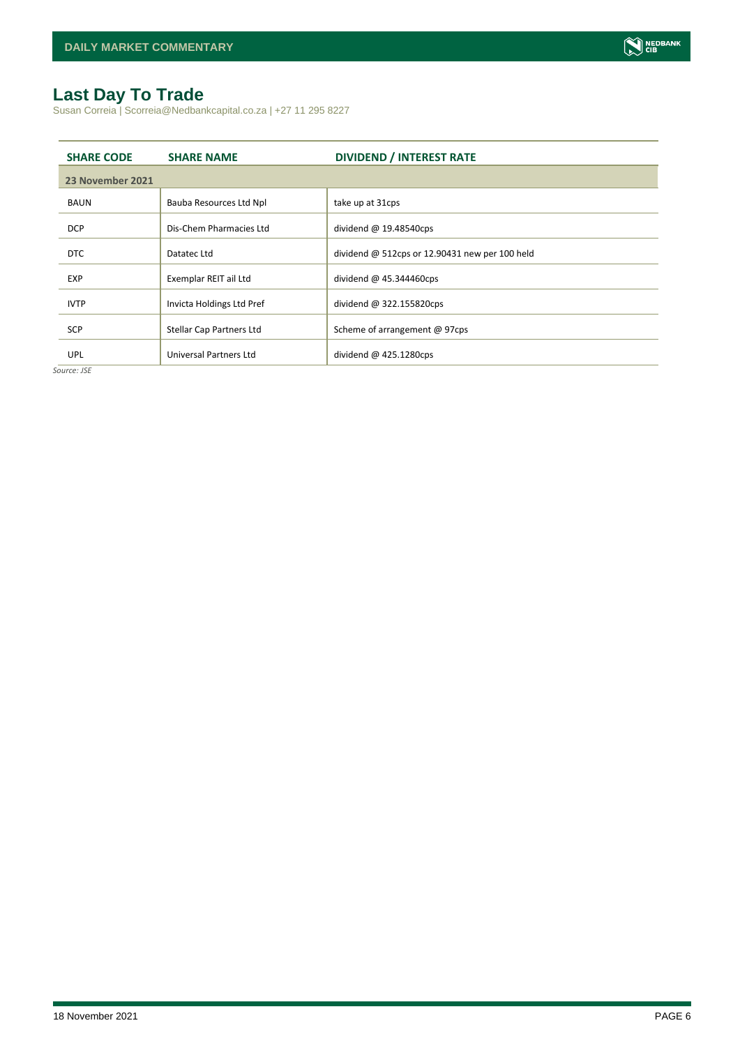# <span id="page-5-0"></span>**Last Day To Trade**

Susan Correia | Scorreia@Nedbankcapital.co.za | +27 11 295 8227

| <b>SHARE CODE</b> | <b>SHARE NAME</b>         | <b>DIVIDEND / INTEREST RATE</b>                  |
|-------------------|---------------------------|--------------------------------------------------|
| 23 November 2021  |                           |                                                  |
| <b>BAUN</b>       | Bauba Resources Ltd Npl   | take up at 31cps                                 |
| <b>DCP</b>        | Dis-Chem Pharmacies Ltd   | dividend $@$ 19.48540cps                         |
| DTC               | Datatec Ltd               | dividend $@$ 512cps or 12.90431 new per 100 held |
| <b>EXP</b>        | Exemplar REIT ail Ltd     | dividend $@$ 45.344460cps                        |
| <b>IVTP</b>       | Invicta Holdings Ltd Pref | dividend $@322.155820cps$                        |
| <b>SCP</b>        | Stellar Cap Partners Ltd  | Scheme of arrangement @ 97cps                    |
| <b>UPL</b>        | Universal Partners Ltd    | dividend $@$ 425.1280cps                         |

*Source: JSE*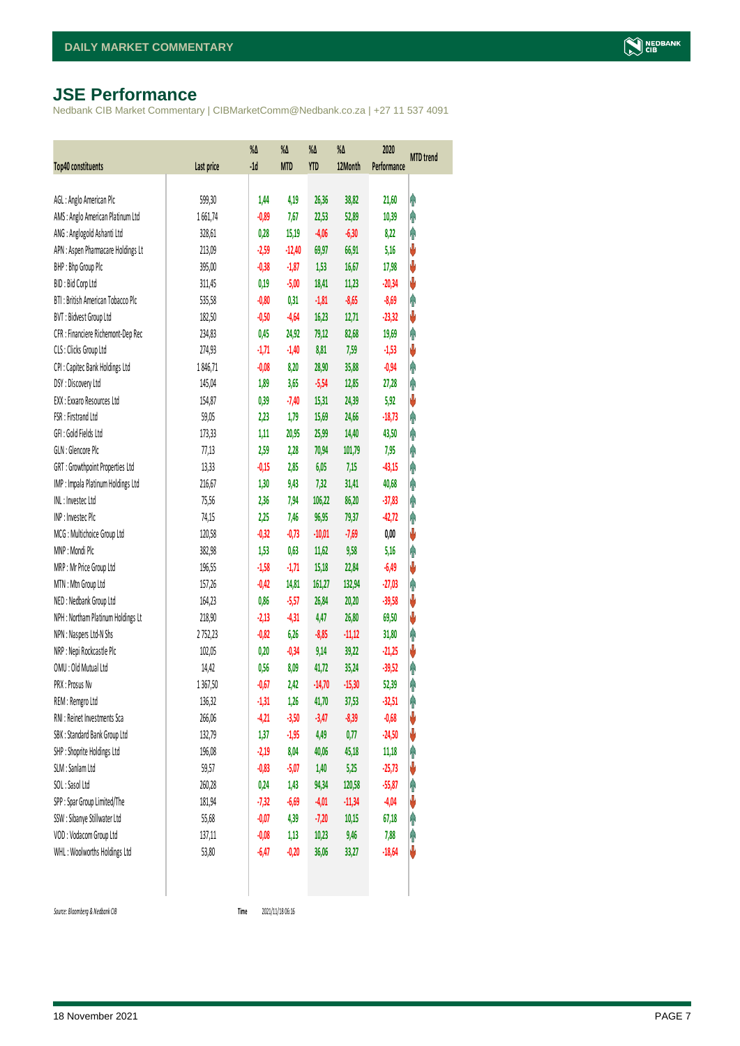# <span id="page-6-0"></span>**JSE Performance**

Nedbank CIB Market Commentary | CIBMarketComm@Nedbank.co.za | +27 11 537 4091

| <b>Top40 constituents</b>          | Last price | %Δ<br>$-1d$ | %Δ<br><b>MTD</b> | %Δ<br>YTD | $\%$<br>12Month | 2020<br>Performance | <b>MTD</b> trend |
|------------------------------------|------------|-------------|------------------|-----------|-----------------|---------------------|------------------|
|                                    |            |             |                  |           |                 |                     |                  |
| AGL: Anglo American Plc            | 599,30     | 1,44        | 4,19             | 26,36     | 38,82           | 21,60               | Ĥ                |
| AMS: Anglo American Platinum Ltd   | 1661,74    | $-0,89$     | 7,67             | 22,53     | 52,89           | 10,39               | Ą                |
| ANG: Anglogold Ashanti Ltd         | 328,61     | 0,28        | 15,19            | $-4,06$   | $-6,30$         | 8,22                | φ                |
| APN : Aspen Pharmacare Holdings Lt | 213,09     | $-2,59$     | $-12,40$         | 69,97     | 66,91           | 5,16                | V                |
| BHP: Bhp Group Plc                 | 395,00     | $-0,38$     | $-1,87$          | 1,53      | 16,67           | 17,98               | V                |
| BID: Bid Corp Ltd                  | 311,45     | 0,19        | $-5,00$          | 18,41     | 11,23           | $-20,34$            | V                |
| BTI: British American Tobacco Plc  | 535,58     | $-0,80$     | 0,31             | $-1,81$   | $-8,65$         | $-8,69$             | φ                |
| BVT: Bidvest Group Ltd             | 182,50     | $-0,50$     | $-4,64$          | 16,23     | 12,71           | $-23,32$            | ♦                |
| CFR : Financiere Richemont-Dep Rec | 234,83     | 0,45        | 24,92            | 79,12     | 82,68           | 19,69               | φ                |
| CLS : Clicks Group Ltd             | 274,93     | $-1,71$     | $-1,40$          | 8,81      | 7,59            | $-1,53$             | ♦                |
| CPI : Capitec Bank Holdings Ltd    | 1846,71    | $-0,08$     | 8,20             | 28,90     | 35,88           | $-0,94$             | φ                |
| DSY: Discovery Ltd                 | 145,04     | 1,89        | 3,65             | $-5,54$   | 12,85           | 27,28               | φ                |
| EXX : Exxaro Resources Ltd         | 154,87     | 0,39        | $-7,40$          | 15,31     | 24,39           | 5,92                | V                |
| FSR: Firstrand Ltd                 | 59,05      | 2,23        | 1,79             | 15,69     | 24,66           | $-18,73$            | φ                |
| GFI: Gold Fields Ltd               | 173,33     | 1,11        | 20,95            | 25,99     | 14,40           | 43,50               | φ                |
| GLN : Glencore Plc                 | 77,13      | 2,59        | 2,28             | 70,94     | 101,79          | 7,95                | φ                |
| GRT : Growthpoint Properties Ltd   | 13,33      | $-0,15$     | 2,85             | 6,05      | 7,15            | $-43,15$            | φ                |
| IMP : Impala Platinum Holdings Ltd | 216,67     | 1,30        | 9,43             | 7,32      | 31,41           | 40,68               | φ                |
| INL: Investec Ltd                  | 75,56      | 2,36        | 7,94             | 106,22    | 86,20           | $-37,83$            | φ                |
| INP: Invested Plc                  | 74,15      | 2,25        | 7,46             | 96,95     | 79,37           | $-42,72$            | φ                |
| MCG: Multichoice Group Ltd         | 120,58     | $-0,32$     | $-0,73$          | $-10,01$  | $-7,69$         | 0,00                | ♦                |
| MNP: Mondi Plc                     | 382,98     | 1,53        | 0,63             | 11,62     | 9,58            | 5,16                | φ                |
| MRP : Mr Price Group Ltd           | 196,55     | $-1,58$     | $-1,71$          | 15,18     | 22,84           | $-6,49$             | ♦                |
| MTN: Mtn Group Ltd                 | 157,26     | $-0,42$     | 14,81            | 161,27    | 132,94          | $-27,03$            | φ                |
| NED: Nedbank Group Ltd             | 164,23     | 0,86        | $-5,57$          | 26,84     | 20,20           | $-39,58$            | V                |
| NPH : Northam Platinum Holdings Lt | 218,90     | $-2,13$     | $-4,31$          | 4,47      | 26,80           | 69,50               | V                |
| NPN : Naspers Ltd-N Shs            | 2752,23    | $-0,82$     | 6,26             | $-8,85$   | $-11,12$        | 31,80               | φ                |
| NRP : Nepi Rockcastle Plc          | 102,05     | 0,20        | $-0,34$          | 9,14      | 39,22           | $-21,25$            | V                |
| OMU: Old Mutual Ltd                | 14,42      | 0,56        | 8,09             | 41,72     | 35,24           | $-39,52$            | φ                |
| PRX: Prosus Nv                     | 1367,50    | $-0,67$     | 2,42             | $-14,70$  | $-15,30$        | 52,39               | φ                |
| REM : Remgro Ltd                   | 136,32     | $-1,31$     | 1,26             | 41,70     | 37,53           | $-32,51$            | φ                |
| RNI : Reinet Investments Sca       | 266,06     | $-4,21$     | $-3,50$          | $-3,47$   | $-8,39$         | $-0,68$             | V                |
| SBK: Standard Bank Group Ltd       | 132,79     | 1,37        | $-1,95$          | 4,49      | 0,77            | $-24,50$            | V                |
| SHP: Shoprite Holdings Ltd         | 196,08     | $-2,19$     | 8,04             | 40,06     | 45,18           | 11,18               | φ                |
| SLM : Sanlam Ltd                   | 59,57      | $-0,83$     | $-5,07$          | 1,40      | 5,25            | $-25,73$            | V                |
| SOL: Sasol Ltd                     | 260,28     | 0,24        | 1,43             | 94,34     | 120,58          | $-55,87$            | Ĥ                |
| SPP: Spar Group Limited/The        | 181,94     | $-7,32$     | $-6,69$          | $-4,01$   | $-11,34$        | $-4,04$             | V                |
| SSW : Sibanye Stillwater Ltd       | 55,68      | $-0,07$     | 4,39             | $-7,20$   | 10,15           | 67,18               | φ                |
| VOD: Vodacom Group Ltd             | 137,11     | $-0,08$     | 1,13             | 10,23     | 9,46            | 7,88                | φ                |
| WHL: Woolworths Holdings Ltd       | 53,80      | $-6,47$     | $-0,20$          | 36,06     | 33,27           | $-18,64$            | V                |
|                                    |            |             |                  |           |                 |                     |                  |

 $Source: Bloomberg & Nedbank *CB*$ 

Time 2021/11/18 06:16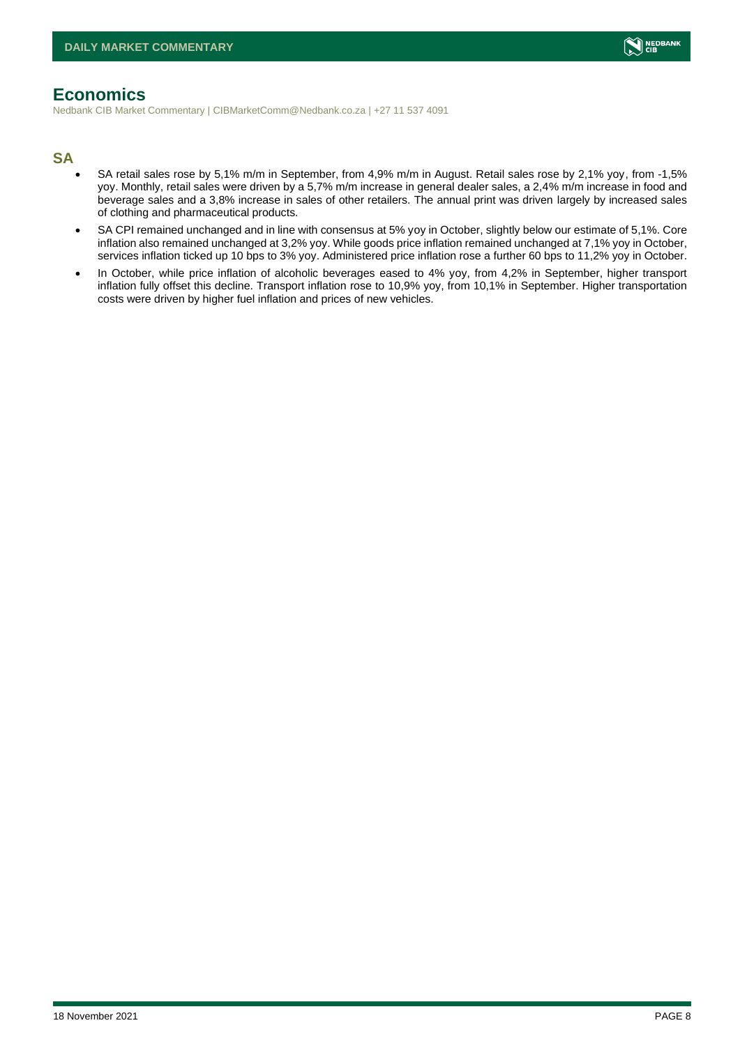# <span id="page-7-0"></span>**Economics**

Nedbank CIB Market Commentary | CIBMarketComm@Nedbank.co.za | +27 11 537 4091

#### **SA**

- SA retail sales rose by 5,1% m/m in September, from 4,9% m/m in August. Retail sales rose by 2,1% yoy, from -1,5% yoy. Monthly, retail sales were driven by a 5,7% m/m increase in general dealer sales, a 2,4% m/m increase in food and beverage sales and a 3,8% increase in sales of other retailers. The annual print was driven largely by increased sales of clothing and pharmaceutical products.
- SA CPI remained unchanged and in line with consensus at 5% yoy in October, slightly below our estimate of 5,1%. Core inflation also remained unchanged at 3,2% yoy. While goods price inflation remained unchanged at 7,1% yoy in October, services inflation ticked up 10 bps to 3% yoy. Administered price inflation rose a further 60 bps to 11,2% yoy in October.
- In October, while price inflation of alcoholic beverages eased to 4% yoy, from 4,2% in September, higher transport inflation fully offset this decline. Transport inflation rose to 10,9% yoy, from 10,1% in September. Higher transportation costs were driven by higher fuel inflation and prices of new vehicles.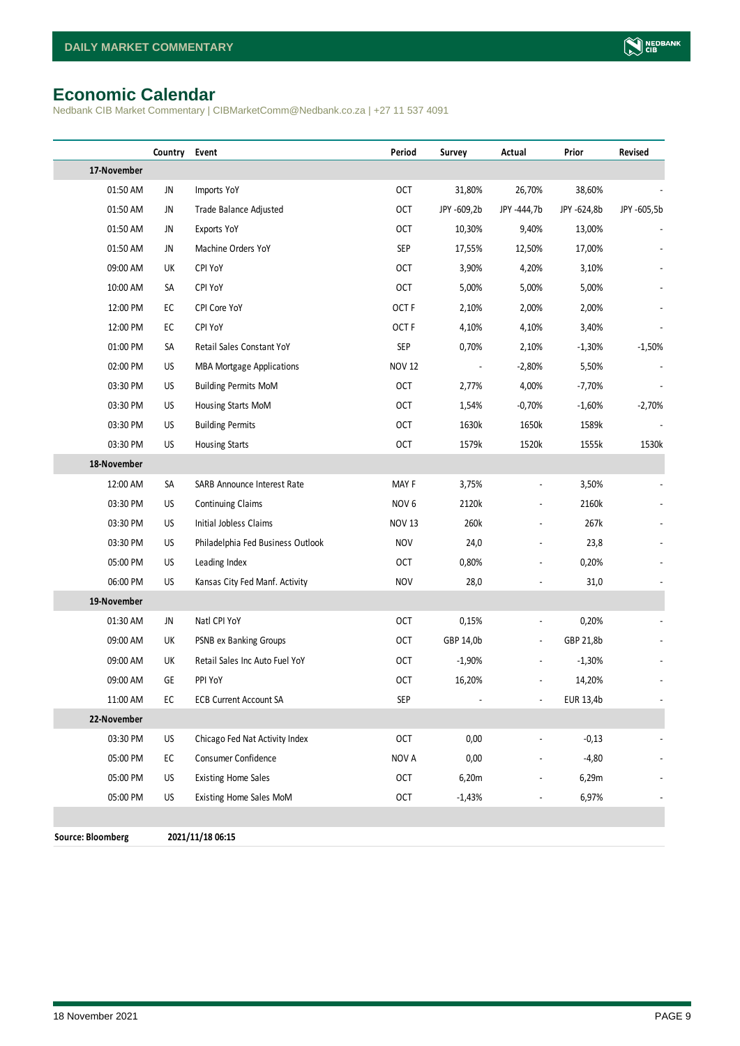# <span id="page-8-0"></span>**Economic Calendar**

Nedbank CIB Market Commentary | CIBMarketComm@Nedbank.co.za | +27 11 537 4091

|                          | Country | Event                             | Period           | Survey                   | Actual                   | Prior       | Revised     |
|--------------------------|---------|-----------------------------------|------------------|--------------------------|--------------------------|-------------|-------------|
| 17-November              |         |                                   |                  |                          |                          |             |             |
| 01:50 AM                 | JN      | Imports YoY                       | OCT              | 31,80%                   | 26,70%                   | 38,60%      |             |
| 01:50 AM                 | JN      | Trade Balance Adjusted            | <b>OCT</b>       | JPY -609,2b              | JPY -444,7b              | JPY -624,8b | JPY -605,5b |
| 01:50 AM                 | JN      | Exports YoY                       | <b>OCT</b>       | 10,30%                   | 9,40%                    | 13,00%      |             |
| 01:50 AM                 | JN      | Machine Orders YoY                | <b>SEP</b>       | 17,55%                   | 12,50%                   | 17,00%      |             |
| 09:00 AM                 | UK      | CPI YoY                           | <b>OCT</b>       | 3,90%                    | 4,20%                    | 3,10%       |             |
| 10:00 AM                 | SA      | CPI YoY                           | <b>OCT</b>       | 5,00%                    | 5,00%                    | 5,00%       |             |
| 12:00 PM                 | EC      | CPI Core YoY                      | OCT <sub>F</sub> | 2,10%                    | 2,00%                    | 2,00%       |             |
| 12:00 PM                 | EC      | CPI YoY                           | OCT <sub>F</sub> | 4,10%                    | 4,10%                    | 3,40%       |             |
| 01:00 PM                 | SA      | Retail Sales Constant YoY         | SEP              | 0,70%                    | 2,10%                    | $-1,30%$    | $-1,50%$    |
| 02:00 PM                 | US      | <b>MBA Mortgage Applications</b>  | <b>NOV 12</b>    | $\overline{\phantom{a}}$ | $-2,80%$                 | 5,50%       |             |
| 03:30 PM                 | US      | <b>Building Permits MoM</b>       | <b>OCT</b>       | 2,77%                    | 4,00%                    | $-7,70%$    |             |
| 03:30 PM                 | US      | Housing Starts MoM                | <b>OCT</b>       | 1,54%                    | $-0,70%$                 | $-1,60%$    | $-2,70%$    |
| 03:30 PM                 | US      | <b>Building Permits</b>           | <b>OCT</b>       | 1630k                    | 1650k                    | 1589k       |             |
| 03:30 PM                 | US      | <b>Housing Starts</b>             | <b>OCT</b>       | 1579k                    | 1520k                    | 1555k       | 1530k       |
| 18-November              |         |                                   |                  |                          |                          |             |             |
| 12:00 AM                 | SA      | SARB Announce Interest Rate       | MAY F            | 3,75%                    | $\frac{1}{2}$            | 3,50%       |             |
| 03:30 PM                 | US      | <b>Continuing Claims</b>          | NOV <sub>6</sub> | 2120k                    |                          | 2160k       |             |
| 03:30 PM                 | US      | Initial Jobless Claims            | <b>NOV 13</b>    | 260k                     |                          | 267k        |             |
| 03:30 PM                 | US      | Philadelphia Fed Business Outlook | <b>NOV</b>       | 24,0                     |                          | 23,8        |             |
| 05:00 PM                 | US      | Leading Index                     | <b>OCT</b>       | 0,80%                    |                          | 0,20%       |             |
| 06:00 PM                 | US      | Kansas City Fed Manf. Activity    | <b>NOV</b>       | 28,0                     |                          | 31,0        |             |
| 19-November              |         |                                   |                  |                          |                          |             |             |
| 01:30 AM                 | JN      | Natl CPI YoY                      | OCT              | 0,15%                    | $\blacksquare$           | 0,20%       |             |
| 09:00 AM                 | UK      | PSNB ex Banking Groups            | <b>OCT</b>       | GBP 14,0b                | $\overline{\phantom{a}}$ | GBP 21,8b   |             |
| 09:00 AM                 | UK      | Retail Sales Inc Auto Fuel YoY    | <b>OCT</b>       | $-1,90%$                 |                          | $-1,30%$    |             |
| 09:00 AM                 | GE      | PPI YoY                           | <b>OCT</b>       | 16,20%                   | $\overline{\phantom{a}}$ | 14,20%      |             |
| 11:00 AM                 | EC      | <b>ECB Current Account SA</b>     | <b>SEP</b>       |                          |                          | EUR 13,4b   |             |
| 22-November              |         |                                   |                  |                          |                          |             |             |
| 03:30 PM                 | US      | Chicago Fed Nat Activity Index    | OCT              | 0,00                     |                          | $-0,13$     |             |
| 05:00 PM                 | EC      | <b>Consumer Confidence</b>        | NOV A            | 0,00                     |                          | $-4,80$     |             |
| 05:00 PM                 | US      | <b>Existing Home Sales</b>        | <b>OCT</b>       | 6,20m                    |                          | 6,29m       |             |
| 05:00 PM                 | US      | Existing Home Sales MoM           | OCT              | $-1,43%$                 |                          | 6,97%       |             |
|                          |         |                                   |                  |                          |                          |             |             |
| <b>Source: Bloomberg</b> |         | 2021/11/18 06:15                  |                  |                          |                          |             |             |